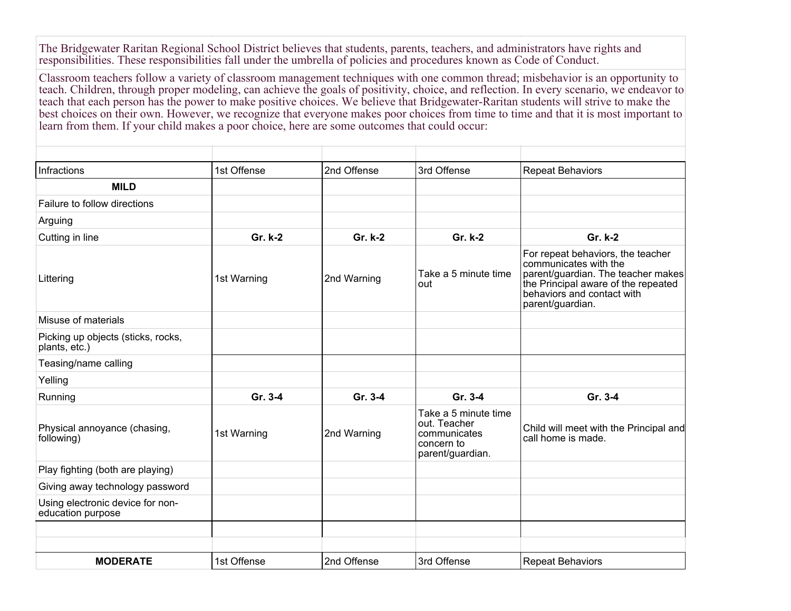The Bridgewater Raritan Regional School District believes that students, parents, teachers, and administrators have rights and responsibilities. These responsibilities fall under the umbrella of policies and procedures known as Code of Conduct.

Classroom teachers follow a variety of classroom management techniques with one common thread; misbehavior is an opportunity to teach. Children, through proper modeling, can achieve the goals of positivity, choice, and reflection. In every scenario, we endeavor to teach that each person has the power to make positive choices. We believe that Bridgewater-Raritan students will strive to make the best choices on their own. However, we recognize that everyone makes poor choices from time to time and that it is most important to learn from them. If your child makes a poor choice, here are some outcomes that could occur:

| <b>Infractions</b>                                    | 1st Offense | 2nd Offense | 3rd Offense                                                                            | <b>Repeat Behaviors</b>                                                                                                                                                                   |
|-------------------------------------------------------|-------------|-------------|----------------------------------------------------------------------------------------|-------------------------------------------------------------------------------------------------------------------------------------------------------------------------------------------|
| <b>MILD</b>                                           |             |             |                                                                                        |                                                                                                                                                                                           |
| Failure to follow directions                          |             |             |                                                                                        |                                                                                                                                                                                           |
| Arguing                                               |             |             |                                                                                        |                                                                                                                                                                                           |
| Cutting in line                                       | Gr. k-2     | Gr. k-2     | Gr. k-2                                                                                | Gr. k-2                                                                                                                                                                                   |
| Littering                                             | 1st Warning | 2nd Warning | Take a 5 minute time<br>out                                                            | For repeat behaviors, the teacher<br>communicates with the<br>parent/guardian. The teacher makes<br>the Principal aware of the repeated<br>behaviors and contact with<br>parent/guardian. |
| Misuse of materials                                   |             |             |                                                                                        |                                                                                                                                                                                           |
| Picking up objects (sticks, rocks,<br>plants, etc.)   |             |             |                                                                                        |                                                                                                                                                                                           |
| Teasing/name calling                                  |             |             |                                                                                        |                                                                                                                                                                                           |
| Yelling                                               |             |             |                                                                                        |                                                                                                                                                                                           |
| Running                                               | Gr. 3-4     | Gr. 3-4     | Gr. 3-4                                                                                | Gr. 3-4                                                                                                                                                                                   |
| Physical annoyance (chasing,<br>following)            | 1st Warning | 2nd Warning | Take a 5 minute time<br>out. Teacher<br>communicates<br>concern to<br>parent/guardian. | Child will meet with the Principal and<br>call home is made.                                                                                                                              |
| Play fighting (both are playing)                      |             |             |                                                                                        |                                                                                                                                                                                           |
| Giving away technology password                       |             |             |                                                                                        |                                                                                                                                                                                           |
| Using electronic device for non-<br>education purpose |             |             |                                                                                        |                                                                                                                                                                                           |
|                                                       |             |             |                                                                                        |                                                                                                                                                                                           |
|                                                       |             |             |                                                                                        |                                                                                                                                                                                           |
| <b>MODERATE</b>                                       | 1st Offense | 2nd Offense | 3rd Offense                                                                            | <b>Repeat Behaviors</b>                                                                                                                                                                   |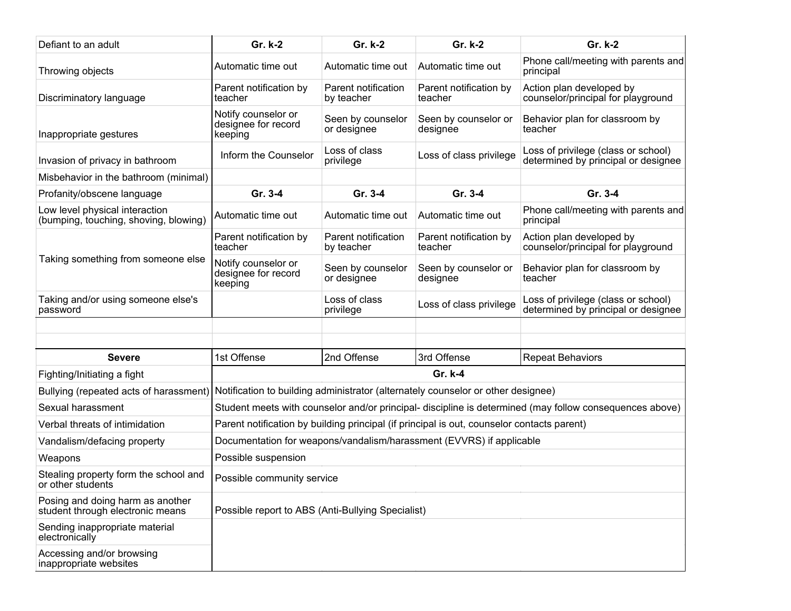| Defiant to an adult                                                     | Gr. k-2                                                                                                 | Gr. k-2                           | Gr. k-2                           | Gr. k-2                                                                    |  |
|-------------------------------------------------------------------------|---------------------------------------------------------------------------------------------------------|-----------------------------------|-----------------------------------|----------------------------------------------------------------------------|--|
| Throwing objects                                                        | Automatic time out                                                                                      | Automatic time out                | Automatic time out                | Phone call/meeting with parents and<br>principal                           |  |
| Discriminatory language                                                 | Parent notification by<br>teacher                                                                       | Parent notification<br>by teacher | Parent notification by<br>teacher | Action plan developed by<br>counselor/principal for playground             |  |
| Inappropriate gestures                                                  | Notify counselor or<br>designee for record<br>keeping                                                   | Seen by counselor<br>or designee  | Seen by counselor or<br>designee  | Behavior plan for classroom by<br>teacher                                  |  |
| Invasion of privacy in bathroom                                         | Inform the Counselor                                                                                    | Loss of class<br>privilege        | Loss of class privilege           | Loss of privilege (class or school)<br>determined by principal or designee |  |
| Misbehavior in the bathroom (minimal)                                   |                                                                                                         |                                   |                                   |                                                                            |  |
| Profanity/obscene language                                              | Gr. 3-4                                                                                                 | Gr. 3-4                           | Gr. 3-4                           | Gr. 3-4                                                                    |  |
| Low level physical interaction<br>(bumping, touching, shoving, blowing) | Automatic time out                                                                                      | Automatic time out                | Automatic time out                | Phone call/meeting with parents and<br>principal                           |  |
| Taking something from someone else                                      | Parent notification by<br>teacher                                                                       | Parent notification<br>by teacher | Parent notification by<br>teacher | Action plan developed by<br>counselor/principal for playground             |  |
|                                                                         | Notify counselor or<br>designee for record<br>keeping                                                   | Seen by counselor<br>or designee  | Seen by counselor or<br>designee  | Behavior plan for classroom by<br>teacher                                  |  |
| Taking and/or using someone else's<br>password                          |                                                                                                         | Loss of class<br>privilege        | Loss of class privilege           | Loss of privilege (class or school)<br>determined by principal or designee |  |
|                                                                         |                                                                                                         |                                   |                                   |                                                                            |  |
|                                                                         |                                                                                                         |                                   |                                   |                                                                            |  |
| <b>Severe</b>                                                           | 1st Offense                                                                                             | 2nd Offense                       | 3rd Offense                       | <b>Repeat Behaviors</b>                                                    |  |
| Fighting/Initiating a fight                                             | Gr. k-4                                                                                                 |                                   |                                   |                                                                            |  |
| Bullying (repeated acts of harassment)                                  | Notification to building administrator (alternately counselor or other designee)                        |                                   |                                   |                                                                            |  |
| Sexual harassment                                                       | Student meets with counselor and/or principal- discipline is determined (may follow consequences above) |                                   |                                   |                                                                            |  |
| Verbal threats of intimidation                                          | Parent notification by building principal (if principal is out, counselor contacts parent)              |                                   |                                   |                                                                            |  |
| Vandalism/defacing property                                             | Documentation for weapons/vandalism/harassment (EVVRS) if applicable                                    |                                   |                                   |                                                                            |  |
| Weapons                                                                 | Possible suspension                                                                                     |                                   |                                   |                                                                            |  |
| Stealing property form the school and<br>or other students              | Possible community service                                                                              |                                   |                                   |                                                                            |  |
| Posing and doing harm as another<br>student through electronic means    | Possible report to ABS (Anti-Bullying Specialist)                                                       |                                   |                                   |                                                                            |  |
| Sending inappropriate material<br>electronically                        |                                                                                                         |                                   |                                   |                                                                            |  |
| Accessing and/or browsing<br>inappropriate websites                     |                                                                                                         |                                   |                                   |                                                                            |  |